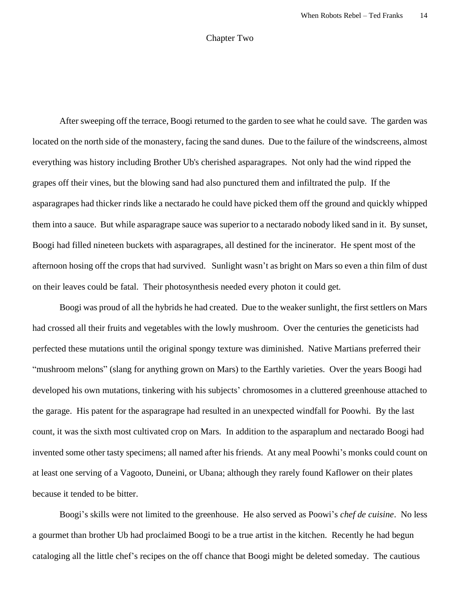## Chapter Two

After sweeping off the terrace, Boogi returned to the garden to see what he could save. The garden was located on the north side of the monastery, facing the sand dunes. Due to the failure of the windscreens, almost everything was history including Brother Ub's cherished asparagrapes. Not only had the wind ripped the grapes off their vines, but the blowing sand had also punctured them and infiltrated the pulp. If the asparagrapes had thicker rinds like a nectarado he could have picked them off the ground and quickly whipped them into a sauce. But while asparagrape sauce was superior to a nectarado nobody liked sand in it. By sunset, Boogi had filled nineteen buckets with asparagrapes, all destined for the incinerator. He spent most of the afternoon hosing off the crops that had survived. Sunlight wasn't as bright on Mars so even a thin film of dust on their leaves could be fatal. Their photosynthesis needed every photon it could get.

Boogi was proud of all the hybrids he had created. Due to the weaker sunlight, the first settlers on Mars had crossed all their fruits and vegetables with the lowly mushroom. Over the centuries the geneticists had perfected these mutations until the original spongy texture was diminished. Native Martians preferred their "mushroom melons" (slang for anything grown on Mars) to the Earthly varieties. Over the years Boogi had developed his own mutations, tinkering with his subjects' chromosomes in a cluttered greenhouse attached to the garage. His patent for the asparagrape had resulted in an unexpected windfall for Poowhi. By the last count, it was the sixth most cultivated crop on Mars. In addition to the asparaplum and nectarado Boogi had invented some other tasty specimens; all named after his friends. At any meal Poowhi's monks could count on at least one serving of a Vagooto, Duneini, or Ubana; although they rarely found Kaflower on their plates because it tended to be bitter.

Boogi's skills were not limited to the greenhouse. He also served as Poowi's *chef de cuisine*. No less a gourmet than brother Ub had proclaimed Boogi to be a true artist in the kitchen. Recently he had begun cataloging all the little chef's recipes on the off chance that Boogi might be deleted someday. The cautious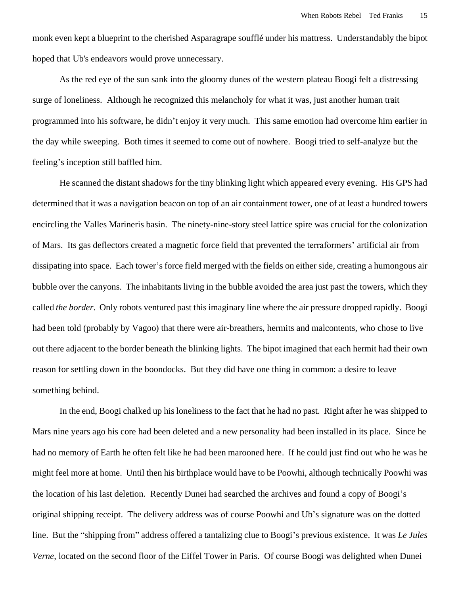monk even kept a blueprint to the cherished Asparagrape soufflé under his mattress. Understandably the bipot hoped that Ub's endeavors would prove unnecessary.

As the red eye of the sun sank into the gloomy dunes of the western plateau Boogi felt a distressing surge of loneliness. Although he recognized this melancholy for what it was, just another human trait programmed into his software, he didn't enjoy it very much. This same emotion had overcome him earlier in the day while sweeping. Both times it seemed to come out of nowhere. Boogi tried to self-analyze but the feeling's inception still baffled him.

He scanned the distant shadows for the tiny blinking light which appeared every evening. His GPS had determined that it was a navigation beacon on top of an air containment tower, one of at least a hundred towers encircling the Valles Marineris basin. The ninety-nine-story steel lattice spire was crucial for the colonization of Mars. Its gas deflectors created a magnetic force field that prevented the terraformers' artificial air from dissipating into space. Each tower's force field merged with the fields on either side, creating a humongous air bubble over the canyons. The inhabitants living in the bubble avoided the area just past the towers, which they called *the border*. Only robots ventured past this imaginary line where the air pressure dropped rapidly. Boogi had been told (probably by Vagoo) that there were air-breathers, hermits and malcontents, who chose to live out there adjacent to the border beneath the blinking lights. The bipot imagined that each hermit had their own reason for settling down in the boondocks. But they did have one thing in common: a desire to leave something behind.

In the end, Boogi chalked up his loneliness to the fact that he had no past. Right after he was shipped to Mars nine years ago his core had been deleted and a new personality had been installed in its place. Since he had no memory of Earth he often felt like he had been marooned here. If he could just find out who he was he might feel more at home. Until then his birthplace would have to be Poowhi, although technically Poowhi was the location of his last deletion. Recently Dunei had searched the archives and found a copy of Boogi's original shipping receipt. The delivery address was of course Poowhi and Ub's signature was on the dotted line. But the "shipping from" address offered a tantalizing clue to Boogi's previous existence. It was *Le Jules Verne*, located on the second floor of the Eiffel Tower in Paris. Of course Boogi was delighted when Dunei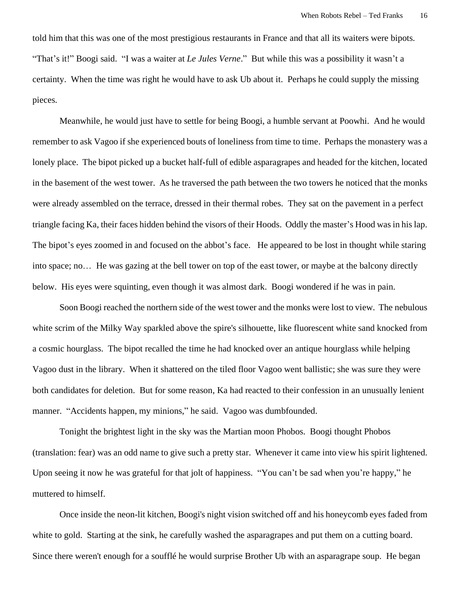told him that this was one of the most prestigious restaurants in France and that all its waiters were bipots. "That's it!" Boogi said. "I was a waiter at *Le Jules Verne*." But while this was a possibility it wasn't a certainty. When the time was right he would have to ask Ub about it. Perhaps he could supply the missing pieces.

Meanwhile, he would just have to settle for being Boogi, a humble servant at Poowhi. And he would remember to ask Vagoo if she experienced bouts of loneliness from time to time. Perhaps the monastery was a lonely place. The bipot picked up a bucket half-full of edible asparagrapes and headed for the kitchen, located in the basement of the west tower. As he traversed the path between the two towers he noticed that the monks were already assembled on the terrace, dressed in their thermal robes. They sat on the pavement in a perfect triangle facing Ka, their faces hidden behind the visors of their Hoods. Oddly the master's Hood was in his lap. The bipot's eyes zoomed in and focused on the abbot's face. He appeared to be lost in thought while staring into space; no… He was gazing at the bell tower on top of the east tower, or maybe at the balcony directly below. His eyes were squinting, even though it was almost dark. Boogi wondered if he was in pain.

Soon Boogi reached the northern side of the west tower and the monks were lost to view. The nebulous white scrim of the Milky Way sparkled above the spire's silhouette, like fluorescent white sand knocked from a cosmic hourglass. The bipot recalled the time he had knocked over an antique hourglass while helping Vagoo dust in the library. When it shattered on the tiled floor Vagoo went ballistic; she was sure they were both candidates for deletion. But for some reason, Ka had reacted to their confession in an unusually lenient manner. "Accidents happen, my minions," he said. Vagoo was dumbfounded.

Tonight the brightest light in the sky was the Martian moon Phobos. Boogi thought Phobos (translation: fear) was an odd name to give such a pretty star. Whenever it came into view his spirit lightened. Upon seeing it now he was grateful for that jolt of happiness. "You can't be sad when you're happy," he muttered to himself.

Once inside the neon-lit kitchen, Boogi's night vision switched off and his honeycomb eyes faded from white to gold. Starting at the sink, he carefully washed the asparagrapes and put them on a cutting board. Since there weren't enough for a soufflé he would surprise Brother Ub with an asparagrape soup. He began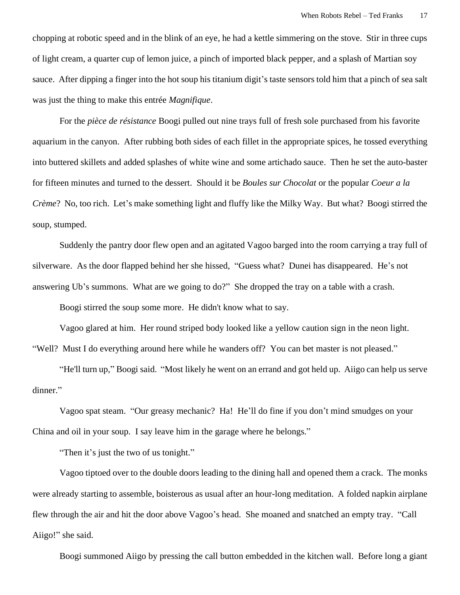chopping at robotic speed and in the blink of an eye, he had a kettle simmering on the stove. Stir in three cups of light cream, a quarter cup of lemon juice, a pinch of imported black pepper, and a splash of Martian soy sauce. After dipping a finger into the hot soup his titanium digit's taste sensors told him that a pinch of sea salt was just the thing to make this entrée *Magnifique*.

For the *pièce de résistance* Boogi pulled out nine trays full of fresh sole purchased from his favorite aquarium in the canyon. After rubbing both sides of each fillet in the appropriate spices, he tossed everything into buttered skillets and added splashes of white wine and some artichado sauce. Then he set the auto-baster for fifteen minutes and turned to the dessert. Should it be *Boules sur Chocolat* or the popular *Coeur a la Crème*? No, too rich. Let's make something light and fluffy like the Milky Way. But what? Boogi stirred the soup, stumped.

Suddenly the pantry door flew open and an agitated Vagoo barged into the room carrying a tray full of silverware. As the door flapped behind her she hissed, "Guess what? Dunei has disappeared. He's not answering Ub's summons. What are we going to do?" She dropped the tray on a table with a crash.

Boogi stirred the soup some more. He didn't know what to say.

Vagoo glared at him. Her round striped body looked like a yellow caution sign in the neon light. "Well? Must I do everything around here while he wanders off? You can bet master is not pleased."

"He'll turn up," Boogi said. "Most likely he went on an errand and got held up. Aiigo can help us serve dinner."

Vagoo spat steam. "Our greasy mechanic? Ha! He'll do fine if you don't mind smudges on your China and oil in your soup. I say leave him in the garage where he belongs."

"Then it's just the two of us tonight."

Vagoo tiptoed over to the double doors leading to the dining hall and opened them a crack. The monks were already starting to assemble, boisterous as usual after an hour-long meditation. A folded napkin airplane flew through the air and hit the door above Vagoo's head. She moaned and snatched an empty tray. "Call Aiigo!" she said.

Boogi summoned Aiigo by pressing the call button embedded in the kitchen wall. Before long a giant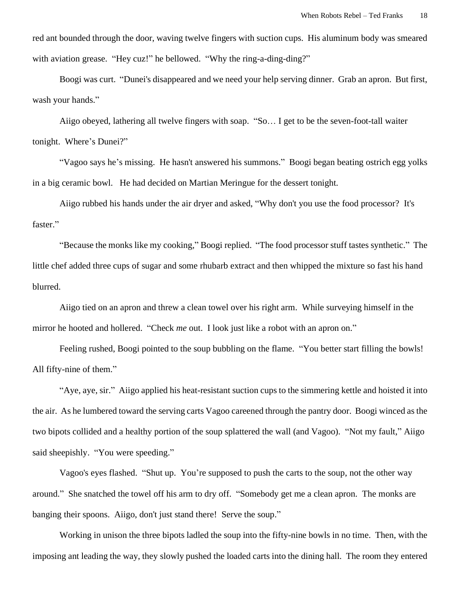red ant bounded through the door, waving twelve fingers with suction cups. His aluminum body was smeared with aviation grease. "Hey cuz!" he bellowed. "Why the ring-a-ding-ding?"

 Boogi was curt. "Dunei's disappeared and we need your help serving dinner. Grab an apron. But first, wash your hands."

Aiigo obeyed, lathering all twelve fingers with soap. "So… I get to be the seven-foot-tall waiter tonight. Where's Dunei?"

"Vagoo says he's missing. He hasn't answered his summons." Boogi began beating ostrich egg yolks in a big ceramic bowl. He had decided on Martian Meringue for the dessert tonight.

Aiigo rubbed his hands under the air dryer and asked, "Why don't you use the food processor? It's faster."

"Because the monks like my cooking," Boogi replied. "The food processor stuff tastes synthetic." The little chef added three cups of sugar and some rhubarb extract and then whipped the mixture so fast his hand blurred.

Aiigo tied on an apron and threw a clean towel over his right arm. While surveying himself in the mirror he hooted and hollered. "Check *me* out. I look just like a robot with an apron on."

Feeling rushed, Boogi pointed to the soup bubbling on the flame. "You better start filling the bowls! All fifty-nine of them."

"Aye, aye, sir." Aiigo applied his heat-resistant suction cups to the simmering kettle and hoisted it into the air. As he lumbered toward the serving carts Vagoo careened through the pantry door. Boogi winced as the two bipots collided and a healthy portion of the soup splattered the wall (and Vagoo). "Not my fault," Aiigo said sheepishly. "You were speeding."

Vagoo's eyes flashed. "Shut up. You're supposed to push the carts to the soup, not the other way around." She snatched the towel off his arm to dry off. "Somebody get me a clean apron. The monks are banging their spoons. Aiigo, don't just stand there! Serve the soup."

Working in unison the three bipots ladled the soup into the fifty-nine bowls in no time. Then, with the imposing ant leading the way, they slowly pushed the loaded carts into the dining hall. The room they entered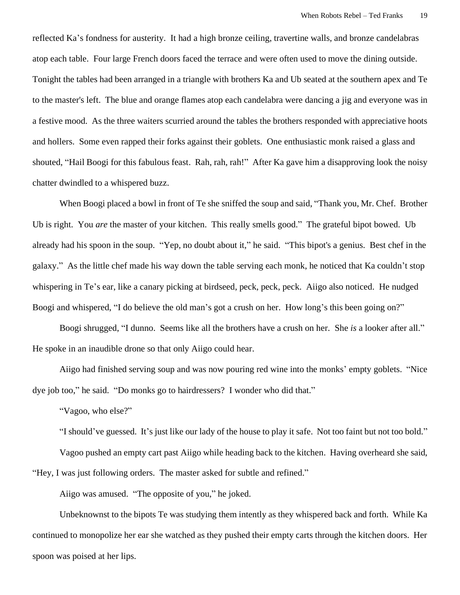reflected Ka's fondness for austerity. It had a high bronze ceiling, travertine walls, and bronze candelabras atop each table. Four large French doors faced the terrace and were often used to move the dining outside. Tonight the tables had been arranged in a triangle with brothers Ka and Ub seated at the southern apex and Te to the master's left. The blue and orange flames atop each candelabra were dancing a jig and everyone was in a festive mood. As the three waiters scurried around the tables the brothers responded with appreciative hoots and hollers. Some even rapped their forks against their goblets. One enthusiastic monk raised a glass and shouted, "Hail Boogi for this fabulous feast. Rah, rah, rah!" After Ka gave him a disapproving look the noisy chatter dwindled to a whispered buzz.

When Boogi placed a bowl in front of Te she sniffed the soup and said, "Thank you, Mr. Chef. Brother Ub is right. You *are* the master of your kitchen. This really smells good." The grateful bipot bowed. Ub already had his spoon in the soup. "Yep, no doubt about it," he said. "This bipot's a genius. Best chef in the galaxy." As the little chef made his way down the table serving each monk, he noticed that Ka couldn't stop whispering in Te's ear, like a canary picking at birdseed, peck, peck, peck. Aiigo also noticed. He nudged Boogi and whispered, "I do believe the old man's got a crush on her. How long's this been going on?"

Boogi shrugged, "I dunno. Seems like all the brothers have a crush on her. She *is* a looker after all." He spoke in an inaudible drone so that only Aiigo could hear.

Aiigo had finished serving soup and was now pouring red wine into the monks' empty goblets. "Nice dye job too," he said. "Do monks go to hairdressers? I wonder who did that."

"Vagoo, who else?"

"I should've guessed. It's just like our lady of the house to play it safe. Not too faint but not too bold."

Vagoo pushed an empty cart past Aiigo while heading back to the kitchen. Having overheard she said, "Hey, I was just following orders. The master asked for subtle and refined."

Aiigo was amused. "The opposite of you," he joked.

Unbeknownst to the bipots Te was studying them intently as they whispered back and forth. While Ka continued to monopolize her ear she watched as they pushed their empty carts through the kitchen doors. Her spoon was poised at her lips.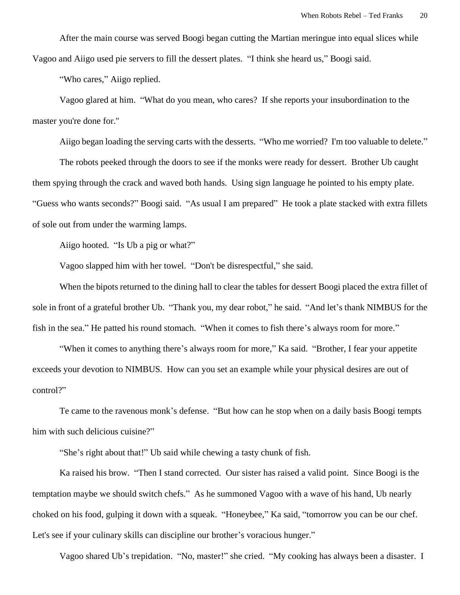After the main course was served Boogi began cutting the Martian meringue into equal slices while Vagoo and Aiigo used pie servers to fill the dessert plates. "I think she heard us," Boogi said.

"Who cares," Aiigo replied.

Vagoo glared at him. "What do you mean, who cares? If she reports your insubordination to the master you're done for."

Aiigo began loading the serving carts with the desserts. "Who me worried? I'm too valuable to delete."

The robots peeked through the doors to see if the monks were ready for dessert. Brother Ub caught them spying through the crack and waved both hands. Using sign language he pointed to his empty plate. "Guess who wants seconds?" Boogi said. "As usual I am prepared" He took a plate stacked with extra fillets of sole out from under the warming lamps.

Aiigo hooted. "Is Ub a pig or what?"

Vagoo slapped him with her towel. "Don't be disrespectful," she said.

When the bipots returned to the dining hall to clear the tables for dessert Boogi placed the extra fillet of sole in front of a grateful brother Ub. "Thank you, my dear robot," he said. "And let's thank NIMBUS for the fish in the sea." He patted his round stomach. "When it comes to fish there's always room for more."

"When it comes to anything there's always room for more," Ka said. "Brother, I fear your appetite exceeds your devotion to NIMBUS. How can you set an example while your physical desires are out of control?"

Te came to the ravenous monk's defense. "But how can he stop when on a daily basis Boogi tempts him with such delicious cuisine?"

"She's right about that!" Ub said while chewing a tasty chunk of fish.

Ka raised his brow. "Then I stand corrected. Our sister has raised a valid point. Since Boogi is the temptation maybe we should switch chefs." As he summoned Vagoo with a wave of his hand, Ub nearly choked on his food, gulping it down with a squeak. "Honeybee," Ka said, "tomorrow you can be our chef. Let's see if your culinary skills can discipline our brother's voracious hunger."

Vagoo shared Ub's trepidation. "No, master!" she cried. "My cooking has always been a disaster. I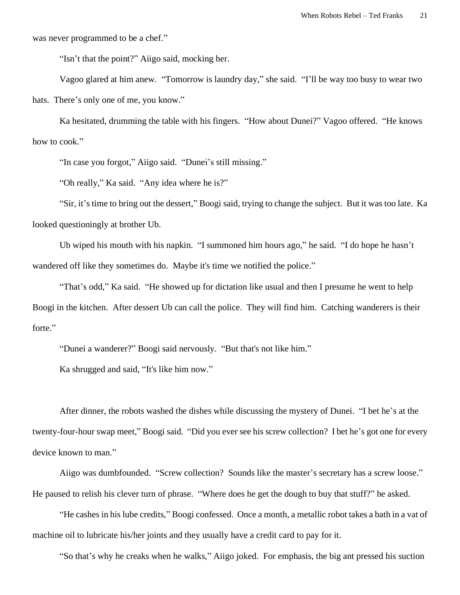was never programmed to be a chef."

"Isn't that the point?" Aiigo said, mocking her.

Vagoo glared at him anew. "Tomorrow is laundry day," she said. "I'll be way too busy to wear two hats. There's only one of me, you know."

Ka hesitated, drumming the table with his fingers. "How about Dunei?" Vagoo offered. "He knows how to cook."

"In case you forgot," Aiigo said. "Dunei's still missing."

"Oh really," Ka said. "Any idea where he is?"

"Sir, it's time to bring out the dessert," Boogi said, trying to change the subject. But it was too late. Ka looked questioningly at brother Ub.

Ub wiped his mouth with his napkin. "I summoned him hours ago," he said. "I do hope he hasn't wandered off like they sometimes do. Maybe it's time we notified the police."

"That's odd," Ka said. "He showed up for dictation like usual and then I presume he went to help Boogi in the kitchen. After dessert Ub can call the police. They will find him. Catching wanderers is their forte."

"Dunei a wanderer?" Boogi said nervously. "But that's not like him."

Ka shrugged and said, "It's like him now."

After dinner, the robots washed the dishes while discussing the mystery of Dunei. "I bet he's at the twenty-four-hour swap meet," Boogi said. "Did you ever see his screw collection? I bet he's got one for every device known to man."

Aiigo was dumbfounded. "Screw collection? Sounds like the master's secretary has a screw loose." He paused to relish his clever turn of phrase. "Where does he get the dough to buy that stuff?" he asked.

"He cashes in his lube credits," Boogi confessed. Once a month, a metallic robot takes a bath in a vat of machine oil to lubricate his/her joints and they usually have a credit card to pay for it.

"So that's why he creaks when he walks," Aiigo joked. For emphasis, the big ant pressed his suction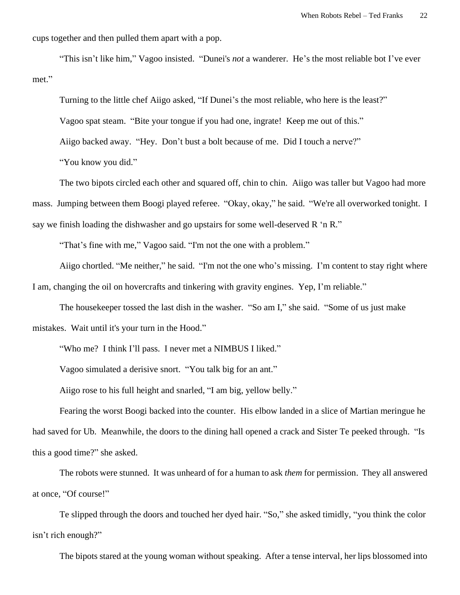cups together and then pulled them apart with a pop.

"This isn't like him," Vagoo insisted. "Dunei's *not* a wanderer. He's the most reliable bot I've ever met."

Turning to the little chef Aiigo asked, "If Dunei's the most reliable, who here is the least?"

Vagoo spat steam. "Bite your tongue if you had one, ingrate! Keep me out of this."

Aiigo backed away. "Hey. Don't bust a bolt because of me. Did I touch a nerve?"

"You know you did."

The two bipots circled each other and squared off, chin to chin. Aiigo was taller but Vagoo had more mass. Jumping between them Boogi played referee. "Okay, okay," he said. "We're all overworked tonight. I say we finish loading the dishwasher and go upstairs for some well-deserved R 'n R."

"That's fine with me," Vagoo said. "I'm not the one with a problem."

Aiigo chortled. "Me neither," he said. "I'm not the one who's missing. I'm content to stay right where I am, changing the oil on hovercrafts and tinkering with gravity engines. Yep, I'm reliable."

The housekeeper tossed the last dish in the washer. "So am I," she said. "Some of us just make mistakes. Wait until it's your turn in the Hood."

"Who me? I think I'll pass. I never met a NIMBUS I liked."

Vagoo simulated a derisive snort. "You talk big for an ant."

Aiigo rose to his full height and snarled, "I am big, yellow belly."

Fearing the worst Boogi backed into the counter. His elbow landed in a slice of Martian meringue he had saved for Ub. Meanwhile, the doors to the dining hall opened a crack and Sister Te peeked through. "Is this a good time?" she asked.

The robots were stunned. It was unheard of for a human to ask *them* for permission. They all answered at once, "Of course!"

Te slipped through the doors and touched her dyed hair. "So," she asked timidly, "you think the color isn't rich enough?"

The bipots stared at the young woman without speaking. After a tense interval, her lips blossomed into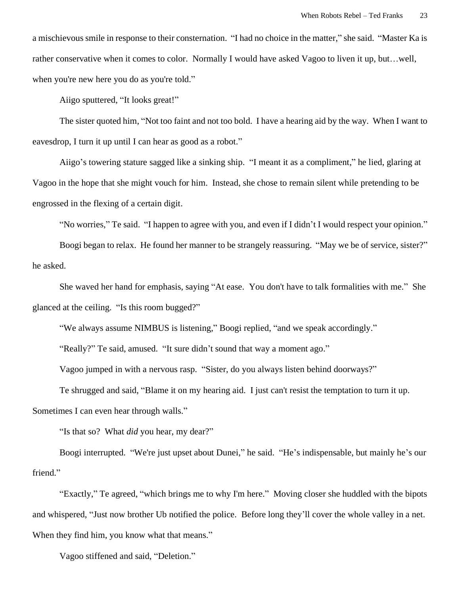a mischievous smile in response to their consternation. "I had no choice in the matter," she said. "Master Ka is rather conservative when it comes to color. Normally I would have asked Vagoo to liven it up, but…well, when you're new here you do as you're told."

Aiigo sputtered, "It looks great!"

The sister quoted him, "Not too faint and not too bold. I have a hearing aid by the way. When I want to eavesdrop, I turn it up until I can hear as good as a robot."

Aiigo's towering stature sagged like a sinking ship. "I meant it as a compliment," he lied, glaring at Vagoo in the hope that she might vouch for him. Instead, she chose to remain silent while pretending to be engrossed in the flexing of a certain digit.

"No worries," Te said. "I happen to agree with you, and even if I didn't I would respect your opinion."

Boogi began to relax. He found her manner to be strangely reassuring. "May we be of service, sister?" he asked.

She waved her hand for emphasis, saying "At ease. You don't have to talk formalities with me." She glanced at the ceiling. "Is this room bugged?"

"We always assume NIMBUS is listening," Boogi replied, "and we speak accordingly."

"Really?" Te said, amused. "It sure didn't sound that way a moment ago."

Vagoo jumped in with a nervous rasp. "Sister, do you always listen behind doorways?"

Te shrugged and said, "Blame it on my hearing aid. I just can't resist the temptation to turn it up.

Sometimes I can even hear through walls."

"Is that so? What *did* you hear, my dear?"

Boogi interrupted. "We're just upset about Dunei," he said. "He's indispensable, but mainly he's our friend."

"Exactly," Te agreed, "which brings me to why I'm here." Moving closer she huddled with the bipots and whispered, "Just now brother Ub notified the police. Before long they'll cover the whole valley in a net. When they find him, you know what that means."

Vagoo stiffened and said, "Deletion."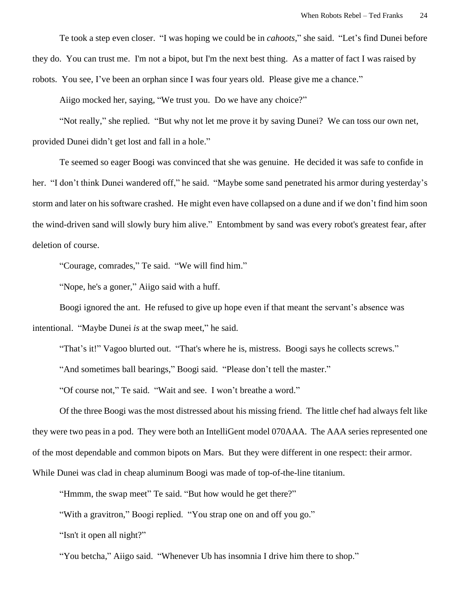Te took a step even closer. "I was hoping we could be in *cahoots*," she said. "Let's find Dunei before they do. You can trust me. I'm not a bipot, but I'm the next best thing. As a matter of fact I was raised by robots. You see, I've been an orphan since I was four years old. Please give me a chance."

Aiigo mocked her, saying, "We trust you. Do we have any choice?"

"Not really," she replied. "But why not let me prove it by saving Dunei? We can toss our own net, provided Dunei didn't get lost and fall in a hole."

Te seemed so eager Boogi was convinced that she was genuine. He decided it was safe to confide in her. "I don't think Dunei wandered off," he said. "Maybe some sand penetrated his armor during yesterday's storm and later on his software crashed. He might even have collapsed on a dune and if we don't find him soon the wind-driven sand will slowly bury him alive." Entombment by sand was every robot's greatest fear, after deletion of course.

"Courage, comrades," Te said. "We will find him."

"Nope, he's a goner," Aiigo said with a huff.

Boogi ignored the ant. He refused to give up hope even if that meant the servant's absence was

intentional. "Maybe Dunei *is* at the swap meet," he said.

"That's it!" Vagoo blurted out. "That's where he is, mistress. Boogi says he collects screws."

"And sometimes ball bearings," Boogi said. "Please don't tell the master."

"Of course not," Te said. "Wait and see. I won't breathe a word."

Of the three Boogi was the most distressed about his missing friend. The little chef had always felt like they were two peas in a pod. They were both an IntelliGent model 070AAA. The AAA series represented one of the most dependable and common bipots on Mars. But they were different in one respect: their armor. While Dunei was clad in cheap aluminum Boogi was made of top-of-the-line titanium.

"Hmmm, the swap meet" Te said. "But how would he get there?"

"With a gravitron," Boogi replied. "You strap one on and off you go."

"Isn't it open all night?"

"You betcha," Aiigo said. "Whenever Ub has insomnia I drive him there to shop."